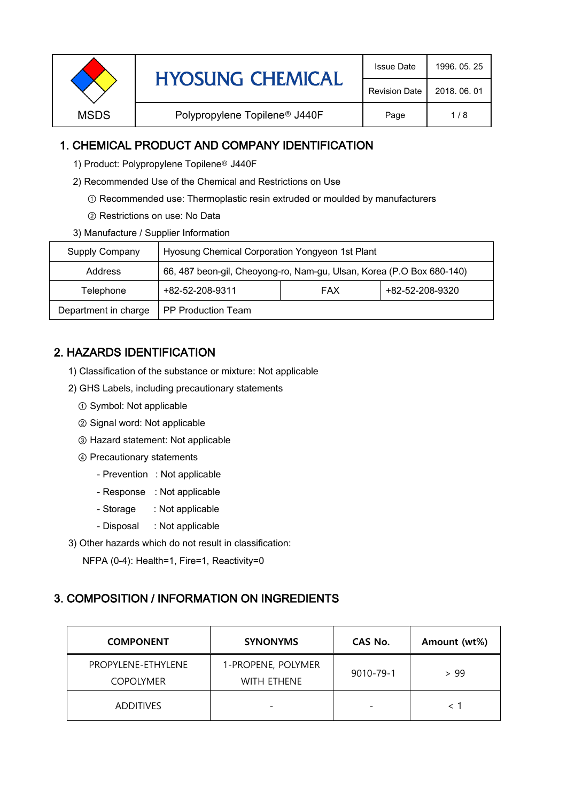|             | <b>HYOSUNG CHEMICAL</b>                   | <b>Issue Date</b> | 1996, 05, 25 |
|-------------|-------------------------------------------|-------------------|--------------|
|             | <b>Revision Date</b>                      | 2018, 06, 01      |              |
| <b>MSDS</b> | Polypropylene Topilene <sup>®</sup> J440F | Page              | 1/8          |

### 1. CHEMICAL PRODUCT AND COMPANY IDENTIFICATION

- 1) Product: Polypropylene Topilene<sup>®</sup> J440F
- 2) Recommended Use of the Chemical and Restrictions on Use
	- ① Recommended use: Thermoplastic resin extruded or moulded by manufacturers
	- ② Restrictions on use: No Data
- 3) Manufacture / Supplier Information

| Supply Company       | Hyosung Chemical Corporation Yongyeon 1st Plant                       |            |                 |
|----------------------|-----------------------------------------------------------------------|------------|-----------------|
| Address              | 66, 487 beon-gil, Cheoyong-ro, Nam-gu, Ulsan, Korea (P.O Box 680-140) |            |                 |
| Telephone            | +82-52-208-9311                                                       | <b>FAX</b> | +82-52-208-9320 |
| Department in charge | <b>PP Production Team</b>                                             |            |                 |

# 2. HAZARDS IDENTIFICATION

- 1) Classification of the substance or mixture: Not applicable
- 2) GHS Labels, including precautionary statements
	- ① Symbol: Not applicable
	- ② Signal word: Not applicable
	- ③ Hazard statement: Not applicable
	- ④ Precautionary statements
		- Prevention : Not applicable
		- Response : Not applicable
		- Storage : Not applicable
		- Disposal : Not applicable
- 3) Other hazards which do not result in classification:

NFPA (0-4): Health=1, Fire=1, Reactivity=0

#### 3. COMPOSITION / INFORMATION ON INGREDIENTS

| <b>COMPONENT</b>                       | <b>SYNONYMS</b>                   | CAS No.   | Amount (wt%) |
|----------------------------------------|-----------------------------------|-----------|--------------|
| PROPYLENE-ETHYLENE<br><b>COPOLYMER</b> | 1-PROPENE, POLYMER<br>WITH ETHENE | 9010-79-1 | > 99         |
| <b>ADDITIVES</b>                       |                                   |           |              |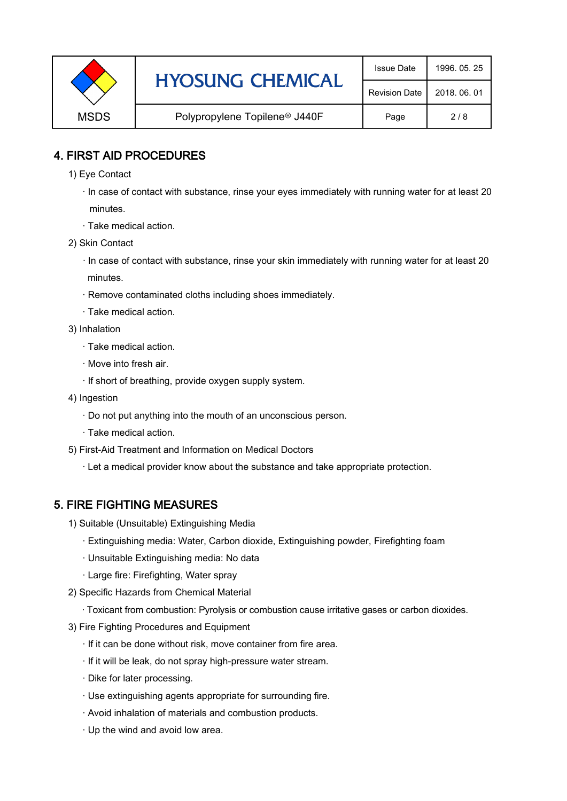|             | <b>HYOSUNG CHEMICAL</b>                   | <b>Issue Date</b>    | 1996, 05, 25 |
|-------------|-------------------------------------------|----------------------|--------------|
|             |                                           | <b>Revision Date</b> | 2018, 06, 01 |
| <b>MSDS</b> | Polypropylene Topilene <sup>®</sup> J440F | Page                 | 2/8          |

### 4. FIRST AID PROCEDURES

- 1) Eye Contact
	- · In case of contact with substance, rinse your eyes immediately with running water for at least 20 minutes.
	- · Take medical action.
- 2) Skin Contact
	- · In case of contact with substance, rinse your skin immediately with running water for at least 20 minutes.
	- · Remove contaminated cloths including shoes immediately.
	- · Take medical action.
- 3) Inhalation
	- · Take medical action.
	- · Move into fresh air.
	- · If short of breathing, provide oxygen supply system.
- 4) Ingestion
	- · Do not put anything into the mouth of an unconscious person.
	- · Take medical action.
- 5) First-Aid Treatment and Information on Medical Doctors
	- · Let a medical provider know about the substance and take appropriate protection.

## 5. FIRE FIGHTING MEASURES

- 1) Suitable (Unsuitable) Extinguishing Media
	- · Extinguishing media: Water, Carbon dioxide, Extinguishing powder, Firefighting foam
	- · Unsuitable Extinguishing media: No data
	- · Large fire: Firefighting, Water spray
- 2) Specific Hazards from Chemical Material
	- · Toxicant from combustion: Pyrolysis or combustion cause irritative gases or carbon dioxides.
- 3) Fire Fighting Procedures and Equipment
	- · If it can be done without risk, move container from fire area.
	- · If it will be leak, do not spray high-pressure water stream.
	- · Dike for later processing.
	- · Use extinguishing agents appropriate for surrounding fire.
	- · Avoid inhalation of materials and combustion products.
	- · Up the wind and avoid low area.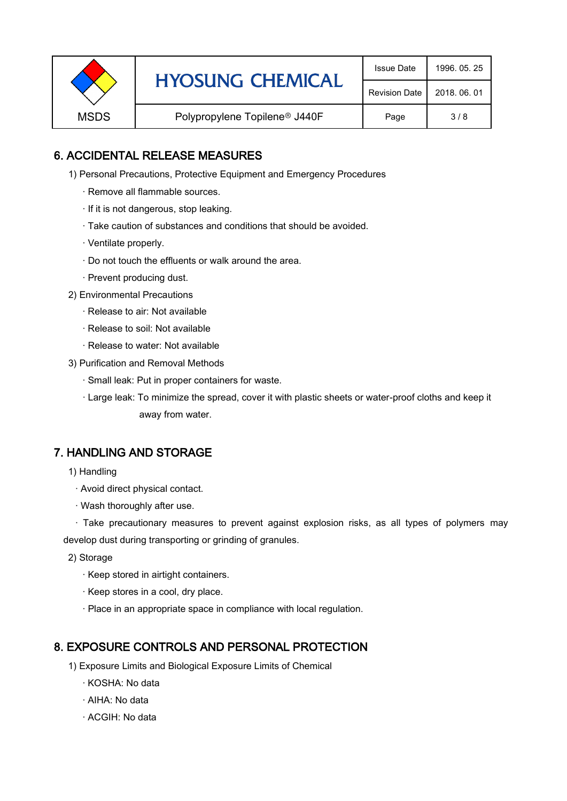| <b>HYOSUNG CHEMICAL</b> |                                           | <b>Issue Date</b> | 1996, 05, 25 |
|-------------------------|-------------------------------------------|-------------------|--------------|
|                         | <b>Revision Date</b>                      | 2018, 06, 01      |              |
| <b>MSDS</b>             | Polypropylene Topilene <sup>®</sup> J440F | Page              | 3/8          |

### 6. ACCIDENTAL RELEASE MEASURES

- 1) Personal Precautions, Protective Equipment and Emergency Procedures
	- · Remove all flammable sources.
	- · If it is not dangerous, stop leaking.
	- · Take caution of substances and conditions that should be avoided.
	- · Ventilate properly.
	- · Do not touch the effluents or walk around the area.
	- · Prevent producing dust.
- 2) Environmental Precautions
	- · Release to air: Not available
	- · Release to soil: Not available
	- · Release to water: Not available
- 3) Purification and Removal Methods
	- · Small leak: Put in proper containers for waste.
	- ,· Large leak: To minimize the spread, cover it with plastic sheets or water-proof cloths and keep it away from water.

#### 7. HANDLING AND STORAGE

- 1) Handling
	- · Avoid direct physical contact.
	- · Wash thoroughly after use.

· Take precautionary measures to prevent against explosion risks, as all types of polymers may develop dust during transporting or grinding of granules.

- 2) Storage
	- · Keep stored in airtight containers.
	- · Keep stores in a cool, dry place.
	- · Place in an appropriate space in compliance with local regulation.

#### 8. EXPOSURE CONTROLS AND PERSONAL PROTECTION

- 1) Exposure Limits and Biological Exposure Limits of Chemical
	- · KOSHA: No data
	- · AIHA: No data
	- · ACGIH: No data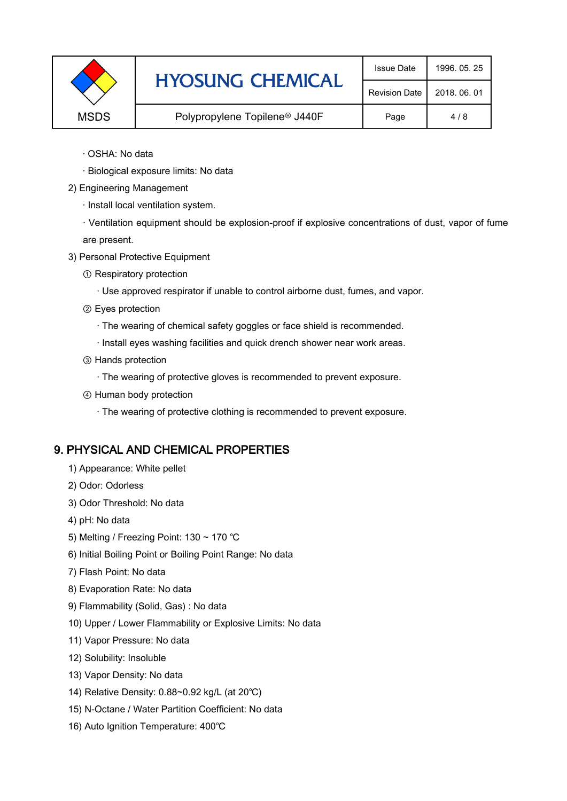|             | <b>HYOSUNG CHEMICAL</b>                   | <b>Issue Date</b>    | 1996, 05, 25 |
|-------------|-------------------------------------------|----------------------|--------------|
|             |                                           | <b>Revision Date</b> | 2018, 06, 01 |
| <b>MSDS</b> | Polypropylene Topilene <sup>®</sup> J440F | Page                 | 4/8          |

- · OSHA: No data
- · Biological exposure limits: No data
- 2) Engineering Management
	- · Install local ventilation system.

· Ventilation equipment should be explosion-proof if explosive concentrations of dust, vapor of fume are present.

- 3) Personal Protective Equipment
	- ① Respiratory protection
		- · Use approved respirator if unable to control airborne dust, fumes, and vapor.
	- ② Eyes protection
		- · The wearing of chemical safety goggles or face shield is recommended.
		- · Install eyes washing facilities and quick drench shower near work areas.
	- ③ Hands protection
		- · The wearing of protective gloves is recommended to prevent exposure.
	- ④ Human body protection
		- · The wearing of protective clothing is recommended to prevent exposure.

## 9. PHYSICAL AND CHEMICAL PROPERTIES

- 1) Appearance: White pellet
- 2) Odor: Odorless
- 3) Odor Threshold: No data
- 4) pH: No data
- 5) Melting / Freezing Point: 130 ~ 170 ℃
- 6) Initial Boiling Point or Boiling Point Range: No data
- 7) Flash Point: No data
- 8) Evaporation Rate: No data
- 9) Flammability (Solid, Gas) : No data
- 10) Upper / Lower Flammability or Explosive Limits: No data
- 11) Vapor Pressure: No data
- 12) Solubility: Insoluble
- 13) Vapor Density: No data
- 14) Relative Density: 0.88~0.92 kg/L (at 20℃)
- 15) N-Octane / Water Partition Coefficient: No data
- 16) Auto Ignition Temperature: 400℃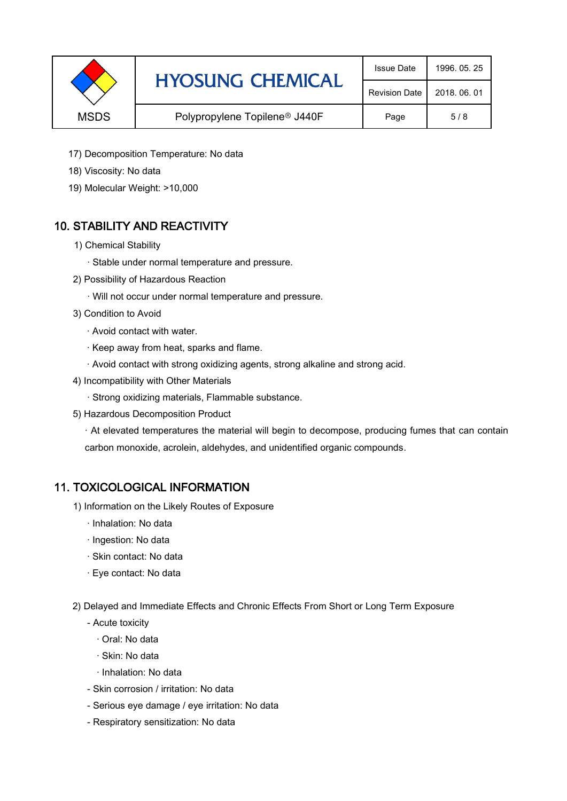|             | <b>HYOSUNG CHEMICAL</b>                   | <b>Issue Date</b>    | 1996, 05, 25 |
|-------------|-------------------------------------------|----------------------|--------------|
|             |                                           | <b>Revision Date</b> | 2018, 06, 01 |
| <b>MSDS</b> | Polypropylene Topilene <sup>®</sup> J440F | Page                 | 5/8          |

- 17) Decomposition Temperature: No data
- 18) Viscosity: No data
- 19) Molecular Weight: >10,000

## 10. STABILITY AND REACTIVITY

- 1) Chemical Stability
	- · Stable under normal temperature and pressure.
- 2) Possibility of Hazardous Reaction
	- · Will not occur under normal temperature and pressure.
- 3) Condition to Avoid
	- · Avoid contact with water.
	- · Keep away from heat, sparks and flame.
	- · Avoid contact with strong oxidizing agents, strong alkaline and strong acid.
- 4) Incompatibility with Other Materials
	- · Strong oxidizing materials, Flammable substance.
- 5) Hazardous Decomposition Product

· At elevated temperatures the material will begin to decompose, producing fumes that can contain carbon monoxide, acrolein, aldehydes, and unidentified organic compounds.

#### 11. TOXICOLOGICAL INFORMATION

- 1) Information on the Likely Routes of Exposure
	- · Inhalation: No data
	- · Ingestion: No data
	- · Skin contact: No data
	- · Eye contact: No data
- 2) Delayed and Immediate Effects and Chronic Effects From Short or Long Term Exposure
	- Acute toxicity
		- · Oral: No data
		- · Skin: No data
		- · Inhalation: No data
	- Skin corrosion / irritation: No data
	- Serious eye damage / eye irritation: No data
	- Respiratory sensitization: No data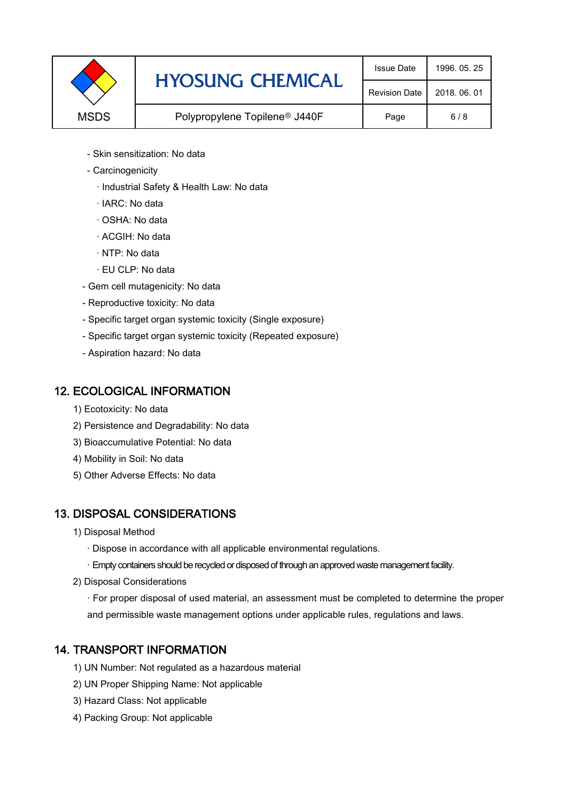|             | <b>HYOSUNG CHEMICAL</b>                   | <b>Issue Date</b>    | 1996, 05, 25 |
|-------------|-------------------------------------------|----------------------|--------------|
|             |                                           | <b>Revision Date</b> | 2018, 06, 01 |
| <b>MSDS</b> | Polypropylene Topilene <sup>®</sup> J440F |                      | 6/8          |

- Skin sensitization: No data
- Carcinogenicity
	- · Industrial Safety & Health Law: No data
	- · IARC: No data
	- · OSHA: No data
	- · ACGIH: No data
	- · NTP: No data
	- · EU CLP: No data
- Gem cell mutagenicity: No data
- Reproductive toxicity: No data
- Specific target organ systemic toxicity (Single exposure)
- Specific target organ systemic toxicity (Repeated exposure)
- Aspiration hazard: No data

#### 12. ECOLOGICAL INFORMATION

- 1) Ecotoxicity: No data
- 2) Persistence and Degradability: No data
- 3) Bioaccumulative Potential: No data
- 4) Mobility in Soil: No data
- 5) Other Adverse Effects: No data

#### 13. DISPOSAL CONSIDERATIONS

- 1) Disposal Method
	- · Dispose in accordance with all applicable environmental regulations.
	- · Empty containers should be recycled or disposed of through an approved waste management facility.
- 2) Disposal Considerations
	- · For proper disposal of used material, an assessment must be completed to determine the proper and permissible waste management options under applicable rules, regulations and laws.

## 14. TRANSPORT INFORMATION

- 1) UN Number: Not regulated as a hazardous material
- 2) UN Proper Shipping Name: Not applicable
- 3) Hazard Class: Not applicable
- 4) Packing Group: Not applicable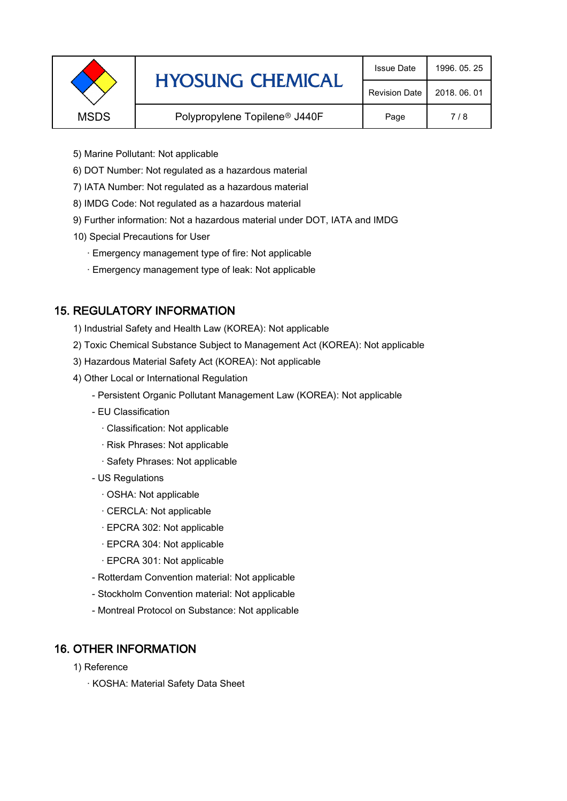|             | <b>HYOSUNG CHEMICAL</b>                   | <b>Issue Date</b>    | 1996, 05, 25 |
|-------------|-------------------------------------------|----------------------|--------------|
|             |                                           | <b>Revision Date</b> | 2018, 06, 01 |
| <b>MSDS</b> | Polypropylene Topilene <sup>®</sup> J440F |                      | 7/8          |
|             |                                           |                      |              |

- 5) Marine Pollutant: Not applicable
- 6) DOT Number: Not regulated as a hazardous material
- 7) IATA Number: Not regulated as a hazardous material
- 8) IMDG Code: Not regulated as a hazardous material
- 9) Further information: Not a hazardous material under DOT, IATA and IMDG
- 10) Special Precautions for User
	- · Emergency management type of fire: Not applicable
	- · Emergency management type of leak: Not applicable

## 15. REGULATORY INFORMATION

- 1) Industrial Safety and Health Law (KOREA): Not applicable
- 2) Toxic Chemical Substance Subject to Management Act (KOREA): Not applicable
- 3) Hazardous Material Safety Act (KOREA): Not applicable
- 4) Other Local or International Regulation
	- Persistent Organic Pollutant Management Law (KOREA): Not applicable
	- EU Classification
		- · Classification: Not applicable
		- · Risk Phrases: Not applicable
		- · Safety Phrases: Not applicable
	- US Regulations
		- · OSHA: Not applicable
		- · CERCLA: Not applicable
		- · EPCRA 302: Not applicable
		- · EPCRA 304: Not applicable
		- · EPCRA 301: Not applicable
	- Rotterdam Convention material: Not applicable
	- Stockholm Convention material: Not applicable
	- Montreal Protocol on Substance: Not applicable

## 16. OTHER INFORMATION

- 1) Reference
	- · KOSHA: Material Safety Data Sheet